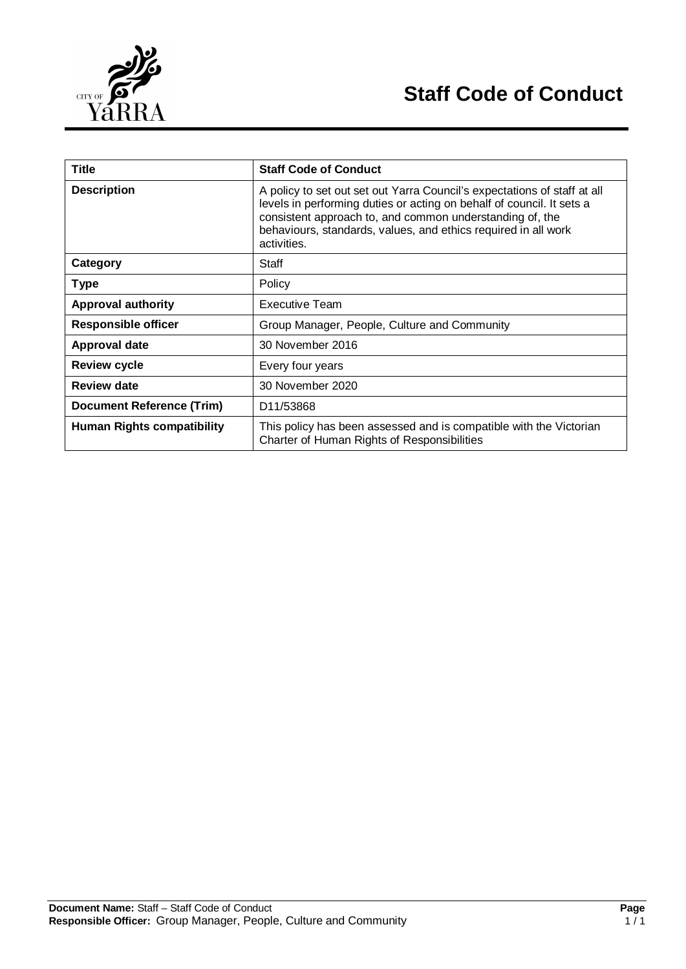

| <b>Title</b>                      | <b>Staff Code of Conduct</b>                                                                                                                                                                                                                                                                   |
|-----------------------------------|------------------------------------------------------------------------------------------------------------------------------------------------------------------------------------------------------------------------------------------------------------------------------------------------|
| <b>Description</b>                | A policy to set out set out Yarra Council's expectations of staff at all<br>levels in performing duties or acting on behalf of council. It sets a<br>consistent approach to, and common understanding of, the<br>behaviours, standards, values, and ethics required in all work<br>activities. |
| Category                          | Staff                                                                                                                                                                                                                                                                                          |
| <b>Type</b>                       | Policy                                                                                                                                                                                                                                                                                         |
| <b>Approval authority</b>         | Executive Team                                                                                                                                                                                                                                                                                 |
| <b>Responsible officer</b>        | Group Manager, People, Culture and Community                                                                                                                                                                                                                                                   |
| <b>Approval date</b>              | 30 November 2016                                                                                                                                                                                                                                                                               |
| <b>Review cycle</b>               | Every four years                                                                                                                                                                                                                                                                               |
| <b>Review date</b>                | 30 November 2020                                                                                                                                                                                                                                                                               |
| <b>Document Reference (Trim)</b>  | D <sub>11</sub> /53868                                                                                                                                                                                                                                                                         |
| <b>Human Rights compatibility</b> | This policy has been assessed and is compatible with the Victorian<br>Charter of Human Rights of Responsibilities                                                                                                                                                                              |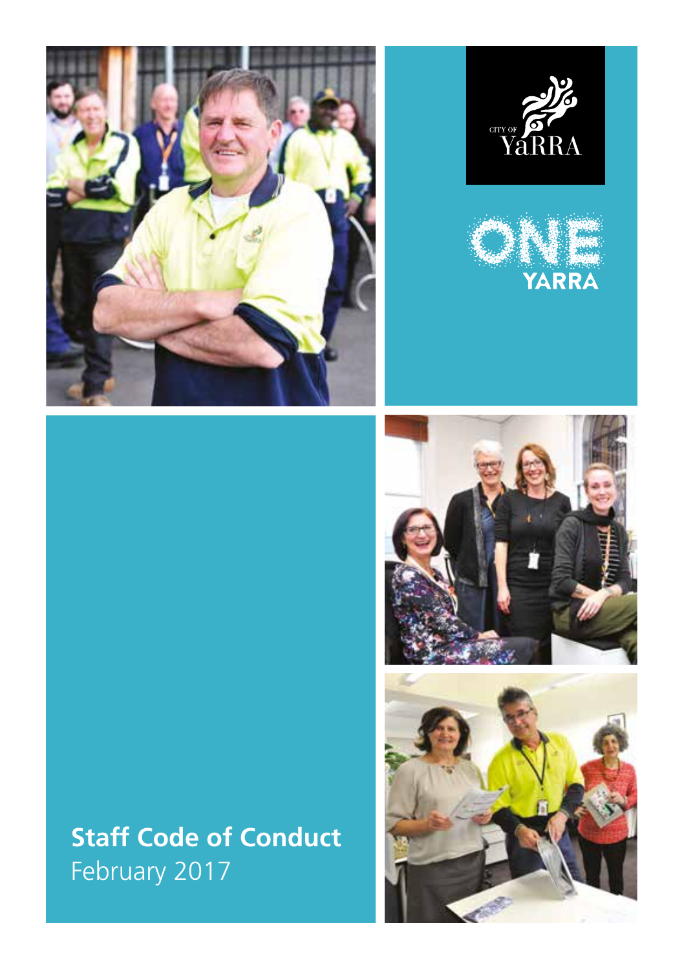





# **Staff Code of Conduct** February 2017



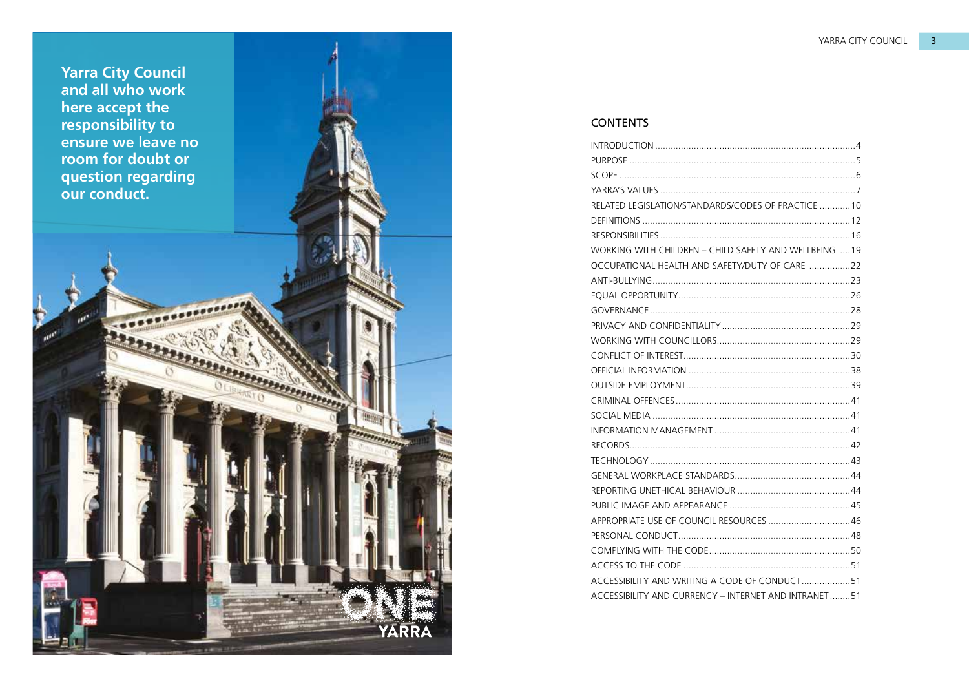

## CONTENTS

| RELATED LEGISLATION/STANDARDS/CODES OF PRACTICE 10    |
|-------------------------------------------------------|
|                                                       |
|                                                       |
| WORKING WITH CHILDREN - CHILD SAFETY AND WELLBEING 19 |
| OCCUPATIONAL HEALTH AND SAFETY/DUTY OF CARE 22        |
|                                                       |
|                                                       |
|                                                       |
|                                                       |
|                                                       |
|                                                       |
|                                                       |
|                                                       |
|                                                       |
|                                                       |
|                                                       |
|                                                       |
|                                                       |
|                                                       |
|                                                       |
|                                                       |
| APPROPRIATE USE OF COUNCIL RESOURCES 46               |
|                                                       |
|                                                       |
|                                                       |
| ACCESSIBILITY AND WRITING A CODE OF CONDUCT51         |
| ACCESSIBILITY AND CURRENCY - INTERNET AND INTRANET51  |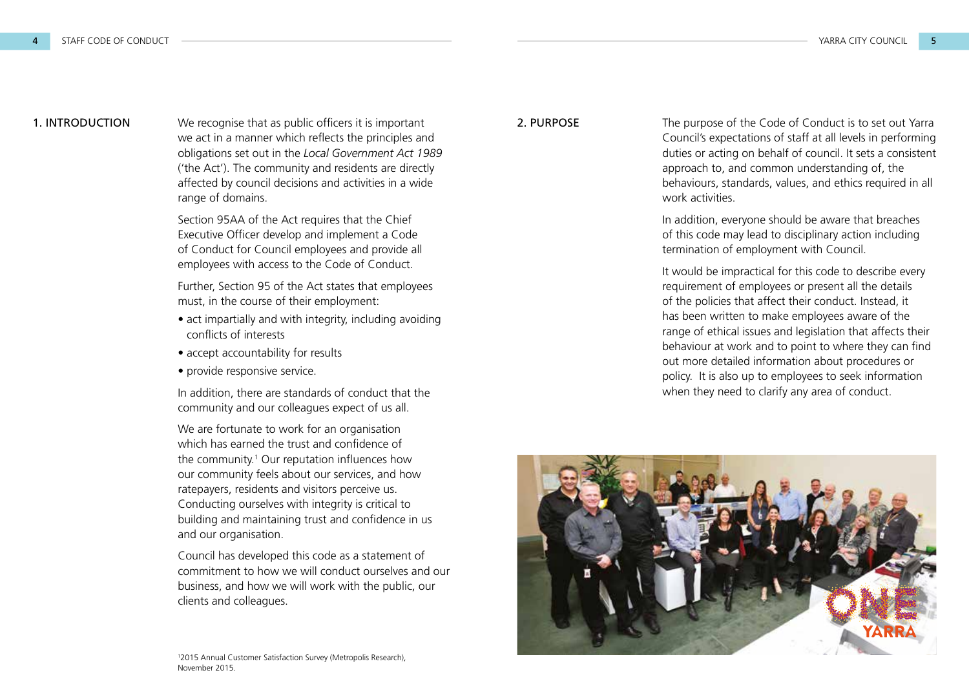1. INTRODUCTION We recognise that as public officers it is important 2. PURPOSE we act in a manner which reflects the principles and obligations set out in the *Local Government Act 1989* ('the Act'). The community and residents are directly affected by council decisions and activities in a wide range of domains.

> Section 95AA of the Act requires that the Chief Executive Officer develop and implement a Code of Conduct for Council employees and provide all employees with access to the Code of Conduct.

Further, Section 95 of the Act states that employees must, in the course of their employment:

- act impartially and with integrity, including avoiding conflicts of interests
- accept accountability for results
- provide responsive service.

In addition, there are standards of conduct that the community and our colleagues expect of us all.

We are fortunate to work for an organisation which has earned the trust and confidence of the community.<sup>1</sup> Our reputation influences how our community feels about our services, and how ratepayers, residents and visitors perceive us. Conducting ourselves with integrity is critical to building and maintaining trust and confidence in us and our organisation.

Council has developed this code as a statement of commitment to how we will conduct ourselves and our business, and how we will work with the public, our clients and colleagues.

The purpose of the Code of Conduct is to set out Yarra Council's expectations of staff at all levels in performing duties or acting on behalf of council. It sets a consistent approach to, and common understanding of, the behaviours, standards, values, and ethics required in all work activities.

In addition, everyone should be aware that breaches of this code may lead to disciplinary action including termination of employment with Council.

It would be impractical for this code to describe every requirement of employees or present all the details of the policies that affect their conduct. Instead, it has been written to make employees aware of the range of ethical issues and legislation that affects their behaviour at work and to point to where they can find out more detailed information about procedures or policy. It is also up to employees to seek information when they need to clarify any area of conduct.

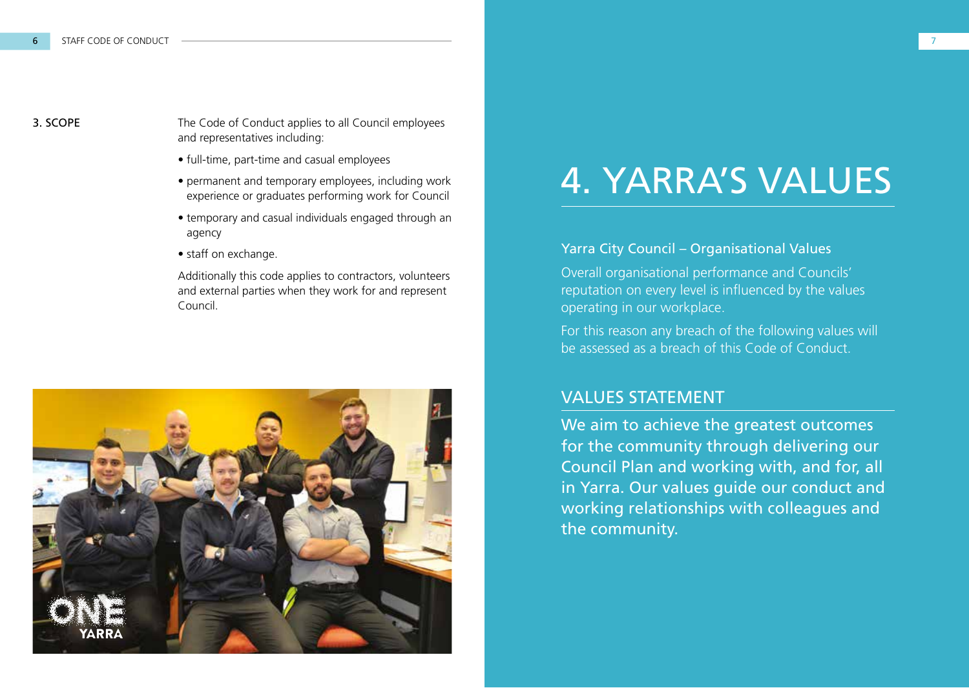**3. SCOPE** The Code of Conduct applies to all Council employees and representatives including:

- full-time, part-time and casual employees
- permanent and temporary employees, including work experience or graduates performing work for Council
- temporary and casual individuals engaged through an agency
- staff on exchange.

Additionally this code applies to contractors, volunteers and external parties when they work for and represent Council.



# 4. YARRA'S VALUES

#### Yarra City Council – Organisational Values

Overall organisational performance and Councils' reputation on every level is influenced by the values operating in our workplace.

For this reason any breach of the following values will be assessed as a breach of this Code of Conduct.

## VALUES STATEMENT

We aim to achieve the greatest outcomes for the community through delivering our Council Plan and working with, and for, all in Yarra. Our values guide our conduct and working relationships with colleagues and the community.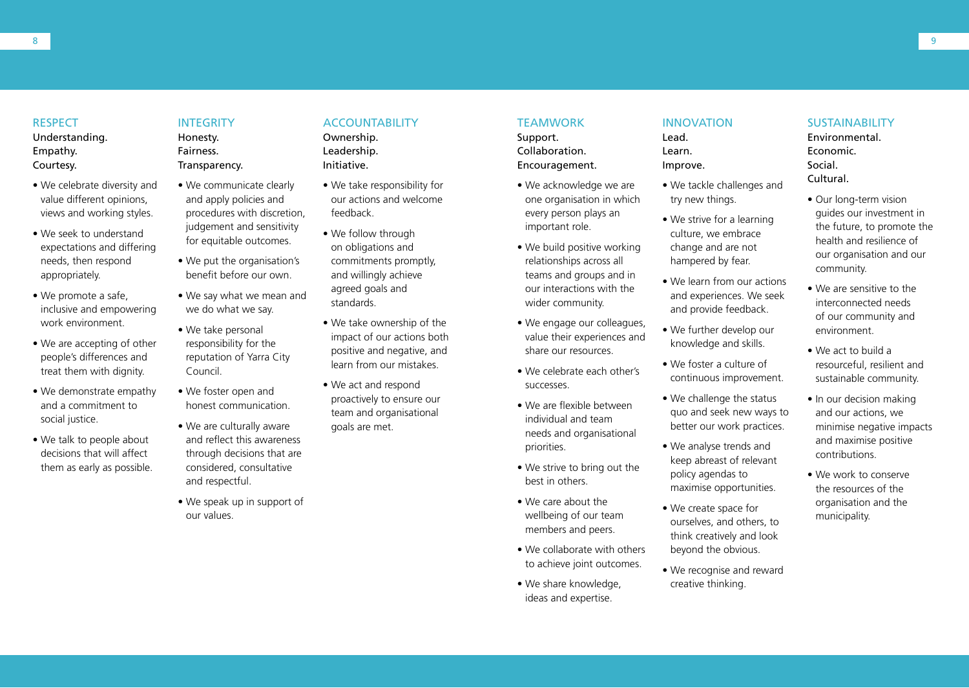#### RESPECT

Understanding. Empathy. Courtesy.

- We celebrate diversity and value different opinions, views and working styles.
- We seek to understand expectations and differing needs, then respond appropriately.
- We promote a safe, inclusive and empowering work environment.
- We are accepting of other people's differences and treat them with dignity.
- We demonstrate empathy and a commitment to social justice.
- We talk to people about decisions that will affect them as early as possible.

#### **INTEGRITY**

Honesty. **Fairness** Transparency.

- We communicate clearly and apply policies and procedures with discretion, judgement and sensitivity for equitable outcomes.
- We put the organisation's benefit before our own.
- We say what we mean and we do what we say.
- We take personal responsibility for the reputation of Yarra City Council.
- We foster open and honest communication.
- We are culturally aware and reflect this awareness through decisions that are considered, consultative and respectful.
- We speak up in support of our values.

#### ACCOUNTABILITY

Ownership. Leadership. Initiative.

- We take responsibility for our actions and welcome feedback.
- We follow through on obligations and commitments promptly, and willingly achieve agreed goals and standards.
- We take ownership of the impact of our actions both positive and negative, and learn from our mistakes.
- We act and respond proactively to ensure our team and organisational goals are met.

#### **TEAMWORK**

Support. Collaboration. Encouragement.

- We acknowledge we are one organisation in which every person plays an important role.
- We build positive working relationships across all teams and groups and in our interactions with the wider community.
- We engage our colleagues, value their experiences and share our resources.
- We celebrate each other's successes.
- We are flexible between individual and team needs and organisational priorities.
- We strive to bring out the best in others.
- We care about the wellbeing of our team members and peers.
- We collaborate with others to achieve joint outcomes.
- We share knowledge, ideas and expertise.

#### INNOVATION

Lead. Learn. Improve.

- We tackle challenges and try new things.
- We strive for a learning culture, we embrace change and are not hampered by fear.
- We learn from our actions and experiences. We seek and provide feedback.
- We further develop our knowledge and skills.
- We foster a culture of continuous improvement.
- We challenge the status quo and seek new ways to better our work practices.
- We analyse trends and keep abreast of relevant policy agendas to maximise opportunities.
- We create space for ourselves, and others, to think creatively and look beyond the obvious.
- We recognise and reward creative thinking.

#### SUSTAINABILITY

Environmental. Economic. Social. Cultural.

- Our long-term vision guides our investment in the future, to promote the health and resilience of our organisation and our community.
- We are sensitive to the interconnected needs of our community and environment.
- We act to build a resourceful, resilient and sustainable community.
- In our decision making and our actions, we minimise negative impacts and maximise positive contributions.
- We work to conserve the resources of the organisation and the municipality.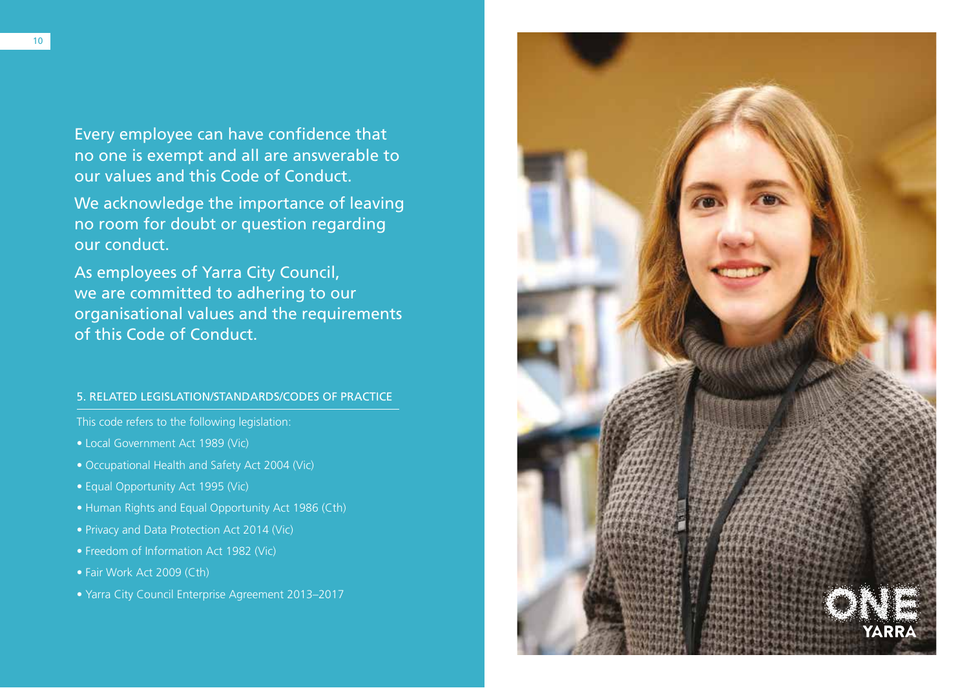Every employee can have confidence that no one is exempt and all are answerable to our values and this Code of Conduct.

We acknowledge the importance of leaving no room for doubt or question regarding our conduct.

As employees of Yarra City Council, we are committed to adhering to our organisational values and the requirements of this Code of Conduct.

#### 5. RELATED LEGISLATION/STANDARDS/CODES OF PRACTICE

This code refers to the following legislation:

- Local Government Act 1989 (Vic)
- Occupational Health and Safety Act 2004 (Vic)
- Equal Opportunity Act 1995 (Vic)
- Human Rights and Equal Opportunity Act 1986 (Cth)
- Privacy and Data Protection Act 2014 (Vic)
- Freedom of Information Act 1982 (Vic)
- Fair Work Act 2009 (Cth)
- Yarra City Council Enterprise Agreement 2013–2017

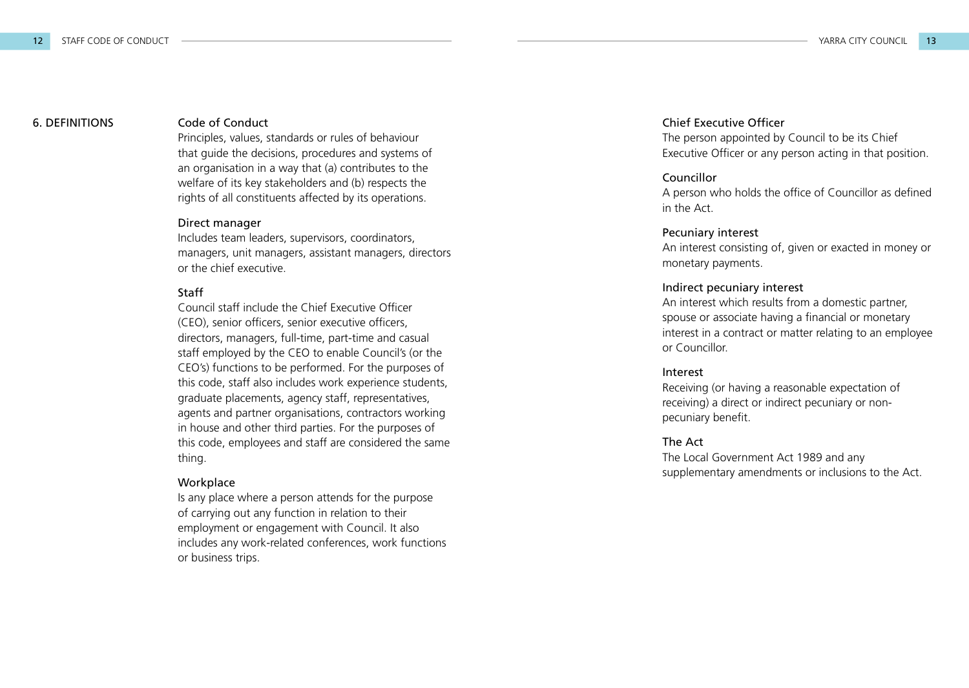#### 6. DEFINITIONS

#### Code of Conduct

Principles, values, standards or rules of behaviour that guide the decisions, procedures and systems of an organisation in a way that (a) contributes to the welfare of its key stakeholders and (b) respects the rights of all constituents affected by its operations.

#### Direct manager

Includes team leaders, supervisors, coordinators, managers, unit managers, assistant managers, directors or the chief executive.

#### Staff

Council staff include the Chief Executive Officer (CEO), senior officers, senior executive officers, directors, managers, full-time, part-time and casual staff employed by the CEO to enable Council's (or the CEO's) functions to be performed. For the purposes of this code, staff also includes work experience students, graduate placements, agency staff, representatives, agents and partner organisations, contractors working in house and other third parties. For the purposes of this code, employees and staff are considered the same thing.

#### **Workplace**

Is any place where a person attends for the purpose of carrying out any function in relation to their employment or engagement with Council. It also includes any work-related conferences, work functions or business trips.

#### Chief Executive Officer

The person appointed by Council to be its Chief Executive Officer or any person acting in that position.

#### Councillor

A person who holds the office of Councillor as defined in the Act.

#### Pecuniary interest

An interest consisting of, given or exacted in money or monetary payments.

#### Indirect pecuniary interest

An interest which results from a domestic partner, spouse or associate having a financial or monetary interest in a contract or matter relating to an employee or Councillor.

#### Interest

Receiving (or having a reasonable expectation of receiving) a direct or indirect pecuniary or nonpecuniary benefit.

#### The Act

The Local Government Act 1989 and any supplementary amendments or inclusions to the Act.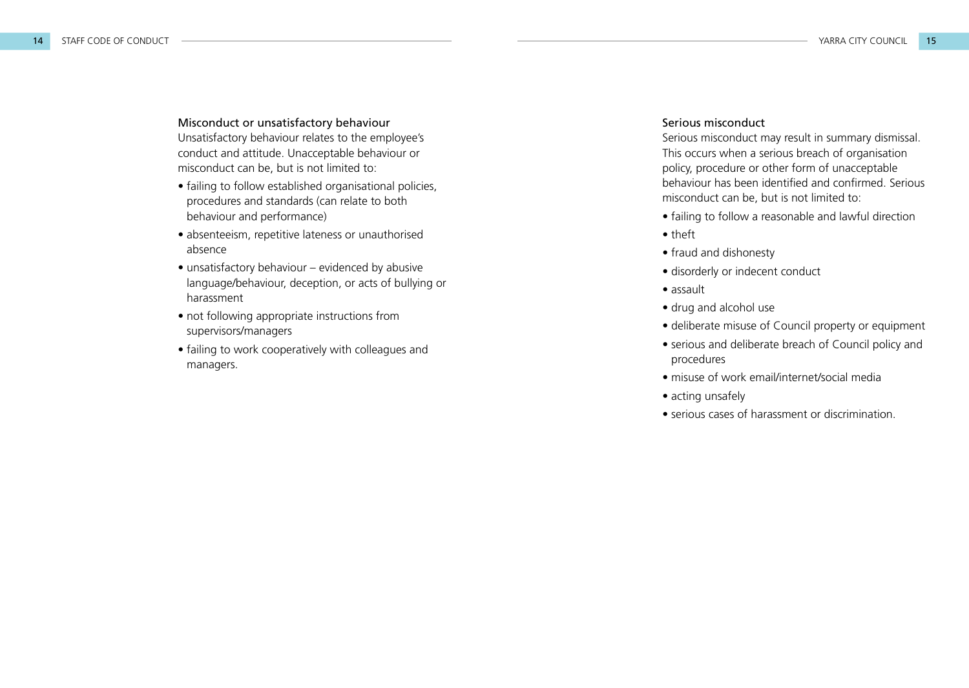Misconduct or unsatisfactory behaviour Unsatisfactory behaviour relates to the employee's conduct and attitude. Unacceptable behaviour or misconduct can be, but is not limited to:

- failing to follow established organisational policies, procedures and standards (can relate to both behaviour and performance)
- absenteeism, repetitive lateness or unauthorised absence
- unsatisfactory behaviour evidenced by abusive language/behaviour, deception, or acts of bullying or harassment
- not following appropriate instructions from supervisors/managers
- failing to work cooperatively with colleagues and managers.

#### Serious misconduct

Serious misconduct may result in summary dismissal. This occurs when a serious breach of organisation policy, procedure or other form of unacceptable behaviour has been identified and confirmed. Serious misconduct can be, but is not limited to:

- failing to follow a reasonable and lawful direction
- theft
- fraud and dishonesty
- disorderly or indecent conduct
- assault
- drug and alcohol use
- deliberate misuse of Council property or equipment
- serious and deliberate breach of Council policy and procedures
- misuse of work email/internet/social media
- acting unsafely
- serious cases of harassment or discrimination.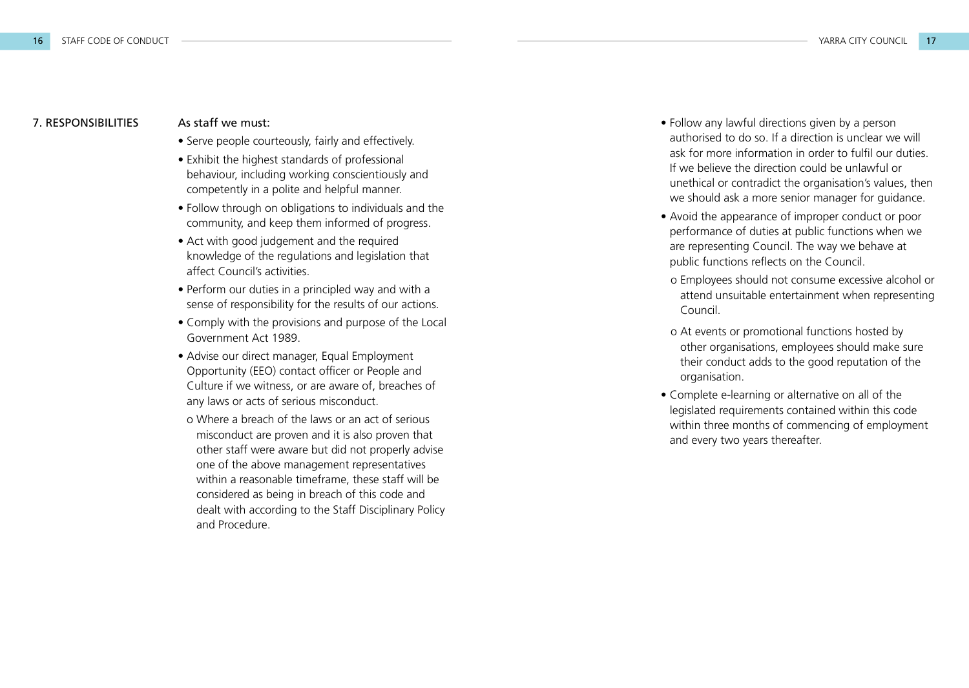#### As staff we must: 7. RESPONSIBILITIES

- Serve people courteously, fairly and effectively.
- Exhibit the highest standards of professional behaviour, including working conscientiously and competently in a polite and helpful manner.
- Follow through on obligations to individuals and the community, and keep them informed of progress.
- Act with good judgement and the required knowledge of the regulations and legislation that affect Council's activities.
- Perform our duties in a principled way and with a sense of responsibility for the results of our actions.
- Comply with the provisions and purpose of the Local Government Act 1989.
- Advise our direct manager, Equal Employment Opportunity (EEO) contact officer or People and Culture if we witness, or are aware of, breaches of any laws or acts of serious misconduct.
- o Where a breach of the laws or an act of serious misconduct are proven and it is also proven that other staff were aware but did not properly advise one of the above management representatives within a reasonable timeframe, these staff will be considered as being in breach of this code and dealt with according to the Staff Disciplinary Policy and Procedure.
- Follow any lawful directions given by a person authorised to do so. If a direction is unclear we will ask for more information in order to fulfil our duties. If we believe the direction could be unlawful or unethical or contradict the organisation's values, then we should ask a more senior manager for guidance.
- Avoid the appearance of improper conduct or poor performance of duties at public functions when we are representing Council. The way we behave at public functions reflects on the Council. o Employees should not consume excessive alcohol or
- attend unsuitable entertainment when representing Council.
- o At events or promotional functions hosted by other organisations, employees should make sure their conduct adds to the good reputation of the organisation.
- Complete e-learning or alternative on all of the legislated requirements contained within this code within three months of commencing of employment and every two years thereafter.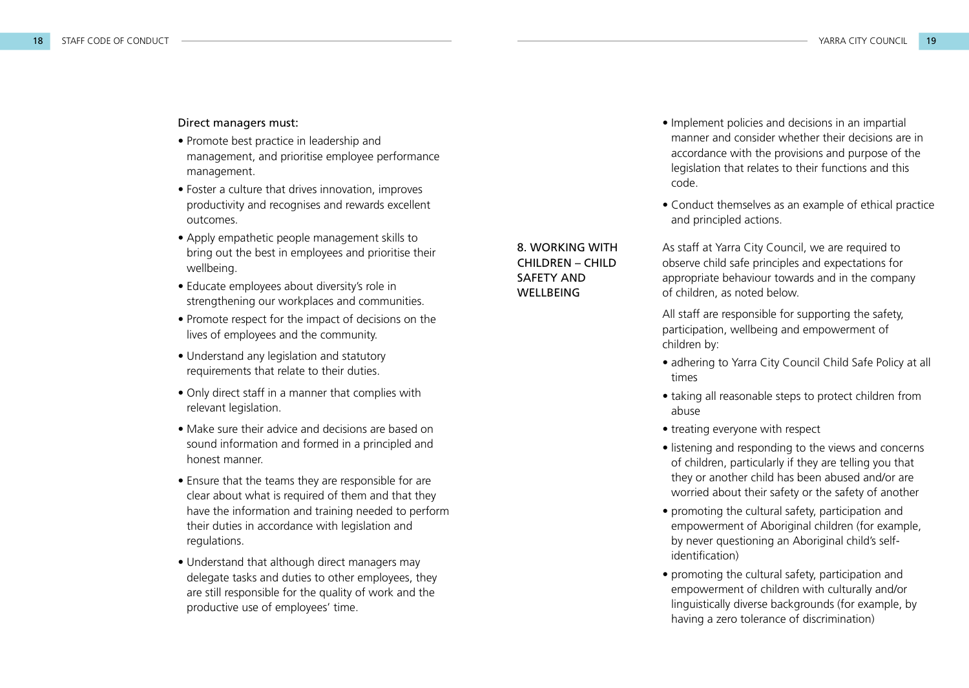#### Direct managers must:

- Promote best practice in leadership and management, and prioritise employee performance management.
- Foster a culture that drives innovation, improves productivity and recognises and rewards excellent outcomes.
- Apply empathetic people management skills to bring out the best in employees and prioritise their wellbeing.
- Educate employees about diversity's role in strengthening our workplaces and communities.
- Promote respect for the impact of decisions on the lives of employees and the community.
- Understand any legislation and statutory requirements that relate to their duties.
- Only direct staff in a manner that complies with relevant legislation.
- Make sure their advice and decisions are based on sound information and formed in a principled and honest manner.
- Ensure that the teams they are responsible for are clear about what is required of them and that they have the information and training needed to perform their duties in accordance with legislation and regulations.
- Understand that although direct managers may delegate tasks and duties to other employees, they are still responsible for the quality of work and the productive use of employees' time.
- Implement policies and decisions in an impartial manner and consider whether their decisions are in accordance with the provisions and purpose of the legislation that relates to their functions and this code.
- Conduct themselves as an example of ethical practice and principled actions.

As staff at Yarra City Council, we are required to observe child safe principles and expectations for appropriate behaviour towards and in the company of children, as noted below.

All staff are responsible for supporting the safety, participation, wellbeing and empowerment of children by:

- adhering to Yarra City Council Child Safe Policy at all times
- taking all reasonable steps to protect children from abuse
- treating everyone with respect
- listening and responding to the views and concerns of children, particularly if they are telling you that they or another child has been abused and/or are worried about their safety or the safety of another
- promoting the cultural safety, participation and empowerment of Aboriginal children (for example, by never questioning an Aboriginal child's selfidentification)
- promoting the cultural safety, participation and empowerment of children with culturally and/or linguistically diverse backgrounds (for example, by having a zero tolerance of discrimination)

#### 8. WORKING WITH CHILDREN – CHILD SAFETY AND **WELLBEING**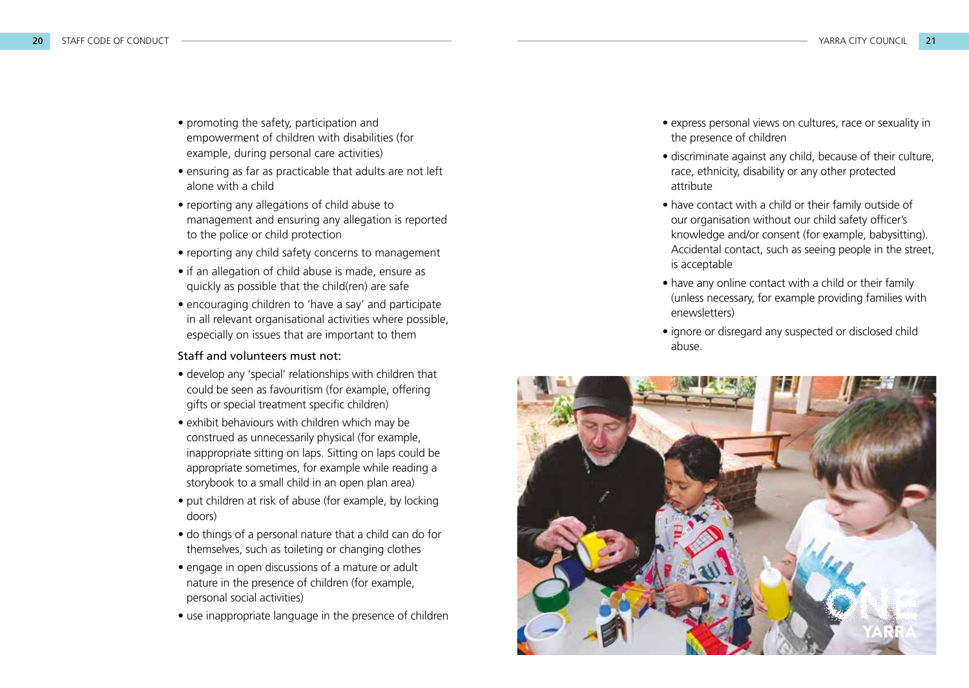- promoting the safety, participation and empowerment of children with disabilities (for example, during personal care activities)
- ensuring as far as practicable that adults are not left alone with a child
- reporting any allegations of child abuse to management and ensuring any allegation is reported to the police or child protection
- reporting any child safety concerns to management
- if an allegation of child abuse is made, ensure as quickly as possible that the child(ren) are safe
- encouraging children to 'have a say' and participate in all relevant organisational activities where possible, especially on issues that are important to them

#### Staff and volunteers must not:

- develop any 'special' relationships with children that could be seen as favouritism (for example, offering gifts or special treatment specific children)
- exhibit behaviours with children which may be construed as unnecessarily physical (for example, inappropriate sitting on laps. Sitting on laps could be appropriate sometimes, for example while reading a storybook to a small child in an open plan area)
- put children at risk of abuse (for example, by locking doors)
- do things of a personal nature that a child can do for themselves, such as toileting or changing clothes
- engage in open discussions of a mature or adult nature in the presence of children (for example, personal social activities)
- use inappropriate language in the presence of children
- express personal views on cultures, race or sexuality in the presence of children
- discriminate against any child, because of their culture, race, ethnicity, disability or any other protected attribute
- have contact with a child or their family outside of our organisation without our child safety officer's knowledge and/or consent (for example, babysitting). Accidental contact, such as seeing people in the street, is acceptable
- have any online contact with a child or their family (unless necessary, for example providing families with enewsletters)
- ignore or disregard any suspected or disclosed child abuse.

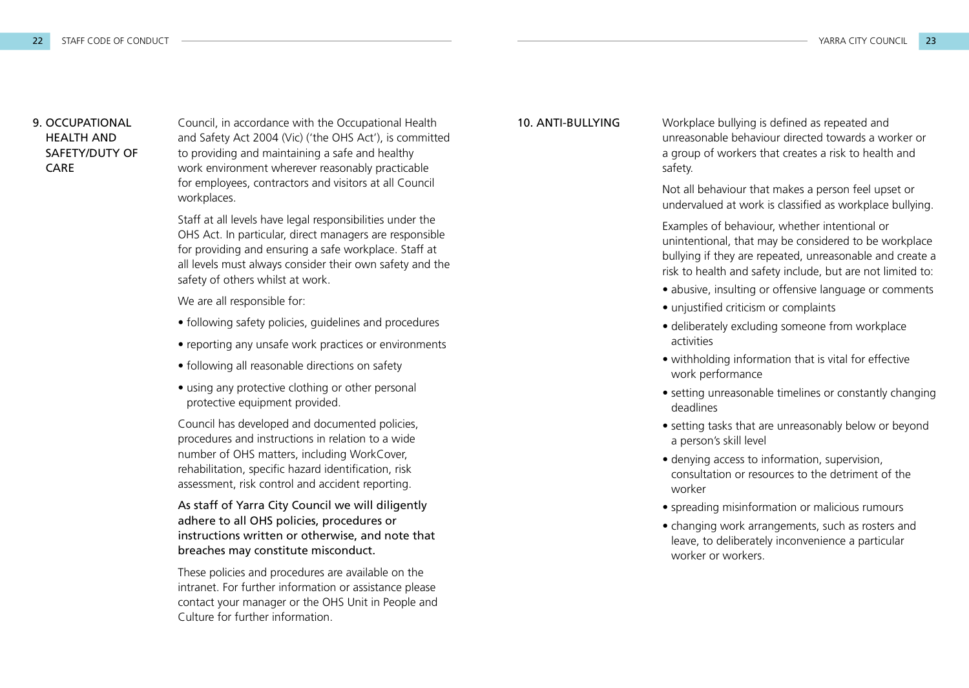# HEALTH AND SAFETY/DUTY OF CARE

9. OCCUPATIONAL Council, in accordance with the Occupational Health **10. ANTI-BULLYING** and Safety Act 2004 (Vic) ('the OHS Act'), is committed to providing and maintaining a safe and healthy work environment wherever reasonably practicable for employees, contractors and visitors at all Council workplaces.

> Staff at all levels have legal responsibilities under the OHS Act. In particular, direct managers are responsible for providing and ensuring a safe workplace. Staff at all levels must always consider their own safety and the safety of others whilst at work.

We are all responsible for:

- following safety policies, guidelines and procedures
- reporting any unsafe work practices or environments
- following all reasonable directions on safety
- using any protective clothing or other personal protective equipment provided.

Council has developed and documented policies, procedures and instructions in relation to a wide number of OHS matters, including WorkCover, rehabilitation, specific hazard identification, risk assessment, risk control and accident reporting.

As staff of Yarra City Council we will diligently adhere to all OHS policies, procedures or instructions written or otherwise, and note that breaches may constitute misconduct.

These policies and procedures are available on the intranet. For further information or assistance please contact your manager or the OHS Unit in People and Culture for further information.

Workplace bullying is defined as repeated and unreasonable behaviour directed towards a worker or a group of workers that creates a risk to health and safety.

Not all behaviour that makes a person feel upset or undervalued at work is classified as workplace bullying.

Examples of behaviour, whether intentional or unintentional, that may be considered to be workplace bullying if they are repeated, unreasonable and create a risk to health and safety include, but are not limited to:

- abusive, insulting or offensive language or comments
- unjustified criticism or complaints
- deliberately excluding someone from workplace activities
- withholding information that is vital for effective work performance
- setting unreasonable timelines or constantly changing deadlines
- setting tasks that are unreasonably below or beyond a person's skill level
- denying access to information, supervision, consultation or resources to the detriment of the worker
- spreading misinformation or malicious rumours
- changing work arrangements, such as rosters and leave, to deliberately inconvenience a particular worker or workers.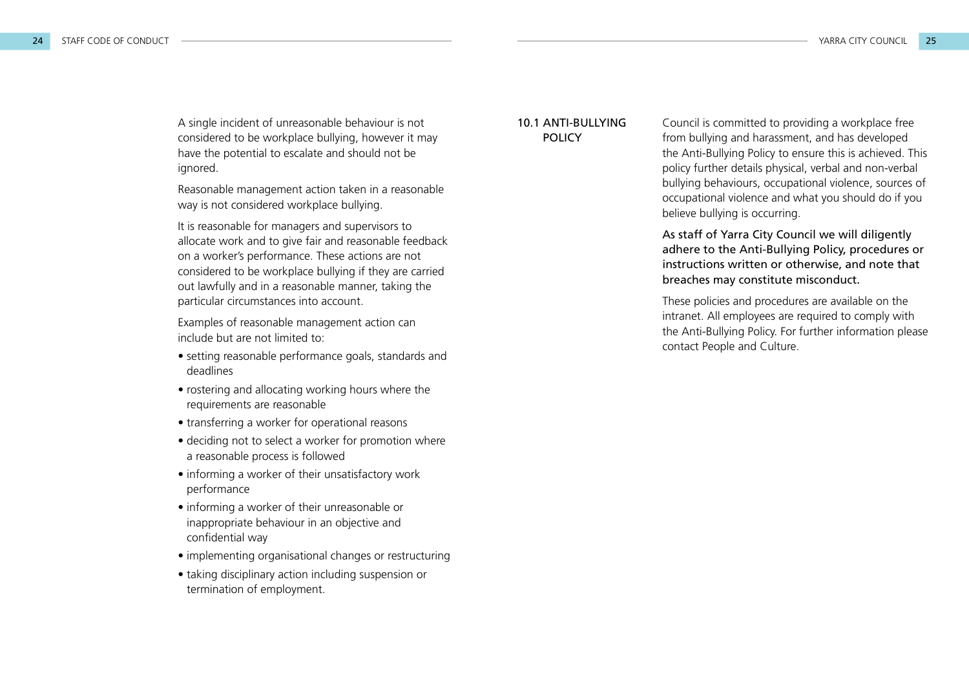A single incident of unreasonable behaviour is not considered to be workplace bullying, however it may have the potential to escalate and should not be ignored.

Reasonable management action taken in a reasonable way is not considered workplace bullying.

It is reasonable for managers and supervisors to allocate work and to give fair and reasonable feedback on a worker's performance. These actions are not considered to be workplace bullying if they are carried out lawfully and in a reasonable manner, taking the particular circumstances into account.

Examples of reasonable management action can include but are not limited to:

- setting reasonable performance goals, standards and deadlines
- rostering and allocating working hours where the requirements are reasonable
- transferring a worker for operational reasons
- deciding not to select a worker for promotion where a reasonable process is followed
- informing a worker of their unsatisfactory work performance
- informing a worker of their unreasonable or inappropriate behaviour in an objective and confidential way
- implementing organisational changes or restructuring
- taking disciplinary action including suspension or termination of employment.

#### 10.1 ANTI-BULLYING POLICY

Council is committed to providing a workplace free from bullying and harassment, and has developed the Anti-Bullying Policy to ensure this is achieved. This policy further details physical, verbal and non-verbal bullying behaviours, occupational violence, sources of occupational violence and what you should do if you believe bullying is occurring.

As staff of Yarra City Council we will diligently adhere to the Anti-Bullying Policy, procedures or instructions written or otherwise, and note that breaches may constitute misconduct.

These policies and procedures are available on the intranet. All employees are required to comply with the Anti-Bullying Policy. For further information please contact People and Culture.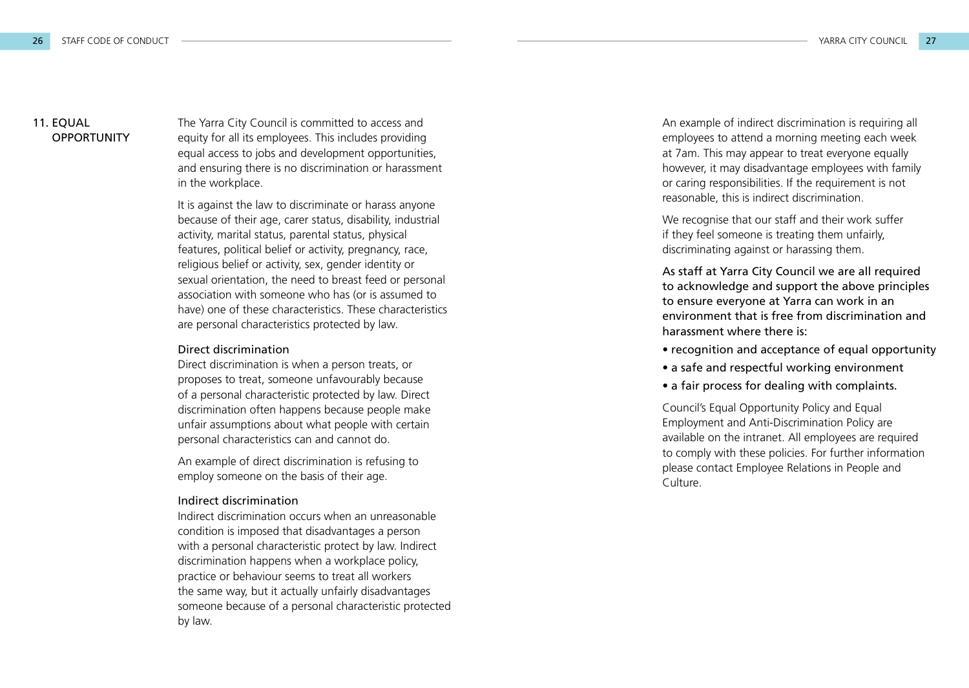#### 11. EQUAL **OPPORTUNITY**

The Yarra City Council is committed to access and equity for all its employees. This includes providing equal access to jobs and development opportunities, and ensuring there is no discrimination or harassment in the workplace.

It is against the law to discriminate or harass anyone because of their age, carer status, disability, industrial activity, marital status, parental status, physical features, political belief or activity, pregnancy, race, religious belief or activity, sex, gender identity or sexual orientation, the need to breast feed or personal association with someone who has (or is assumed to have) one of these characteristics. These characteristics are personal characteristics protected by law.

#### Direct discrimination

Direct discrimination is when a person treats, or proposes to treat, someone unfavourably because of a personal characteristic protected by law. Direct discrimination often happens because people make unfair assumptions about what people with certain personal characteristics can and cannot do.

An example of direct discrimination is refusing to employ someone on the basis of their age.

#### Indirect discrimination

Indirect discrimination occurs when an unreasonable condition is imposed that disadvantages a person with a personal characteristic protect by law. Indirect discrimination happens when a workplace policy, practice or behaviour seems to treat all workers the same way, but it actually unfairly disadvantages someone because of a personal characteristic protected by law.

An example of indirect discrimination is requiring all employees to attend a morning meeting each week at 7am. This may appear to treat everyone equally however, it may disadvantage employees with family or caring responsibilities. If the requirement is not reasonable, this is indirect discrimination.

We recognise that our staff and their work suffer if they feel someone is treating them unfairly, discriminating against or harassing them.

As staff at Yarra City Council we are all required to acknowledge and support the above principles to ensure everyone at Yarra can work in an environment that is free from discrimination and harassment where there is:

- recognition and acceptance of equal opportunity
- a safe and respectful working environment
- a fair process for dealing with complaints.

Council's Equal Opportunity Policy and Equal Employment and Anti-Discrimination Policy are available on the intranet. All employees are required to comply with these policies. For further information please contact Employee Relations in People and Culture.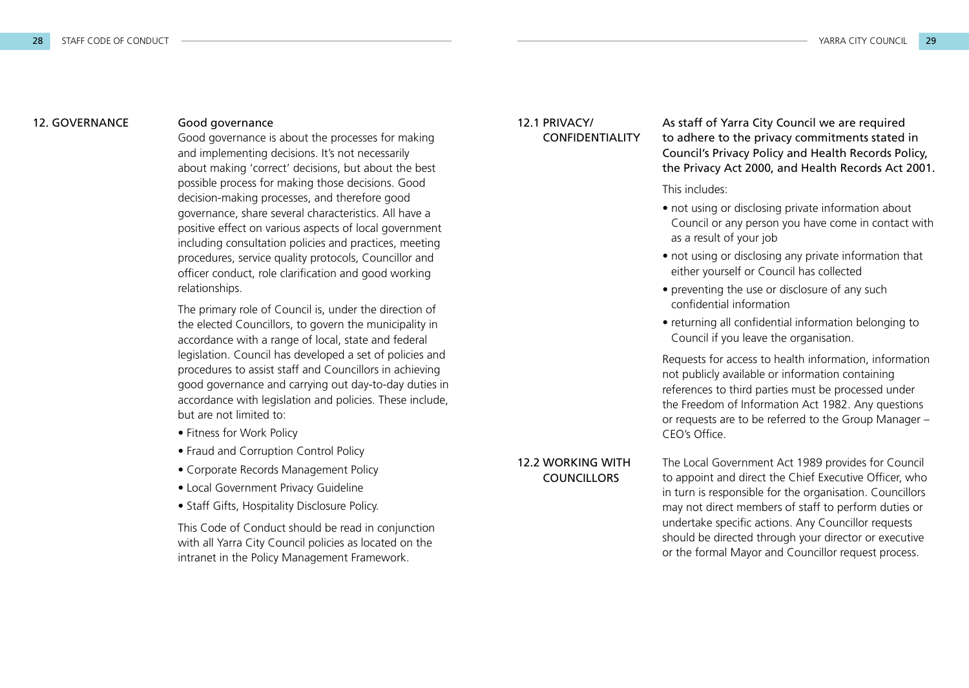#### 12. GOVERNANCE

#### Good governance

Good governance is about the processes for making and implementing decisions. It's not necessarily about making 'correct' decisions, but about the best possible process for making those decisions. Good decision-making processes, and therefore good governance, share several characteristics. All have a positive effect on various aspects of local government including consultation policies and practices, meeting procedures, service quality protocols, Councillor and officer conduct, role clarification and good working relationships.

The primary role of Council is, under the direction of the elected Councillors, to govern the municipality in accordance with a range of local, state and federal legislation. Council has developed a set of policies and procedures to assist staff and Councillors in achieving good governance and carrying out day-to-day duties in accordance with legislation and policies. These include, but are not limited to:

- Fitness for Work Policy
- Fraud and Corruption Control Policy
- Corporate Records Management Policy
- Local Government Privacy Guideline
- Staff Gifts, Hospitality Disclosure Policy.

This Code of Conduct should be read in conjunction with all Yarra City Council policies as located on the intranet in the Policy Management Framework.

#### 12.1 PRIVACY/ CONFIDENTIALITY

As staff of Yarra City Council we are required to adhere to the privacy commitments stated in Council's Privacy Policy and Health Records Policy, the Privacy Act 2000, and Health Records Act 2001.

This includes:

- not using or disclosing private information about Council or any person you have come in contact with as a result of your job
- not using or disclosing any private information that either yourself or Council has collected
- preventing the use or disclosure of any such confidential information
- returning all confidential information belonging to Council if you leave the organisation.

Requests for access to health information, information not publicly available or information containing references to third parties must be processed under the Freedom of Information Act 1982. Any questions or requests are to be referred to the Group Manager – CEO's Office.

12.2 WORKING WITH **COUNCILLORS** 

The Local Government Act 1989 provides for Council to appoint and direct the Chief Executive Officer, who in turn is responsible for the organisation. Councillors may not direct members of staff to perform duties or undertake specific actions. Any Councillor requests should be directed through your director or executive or the formal Mayor and Councillor request process.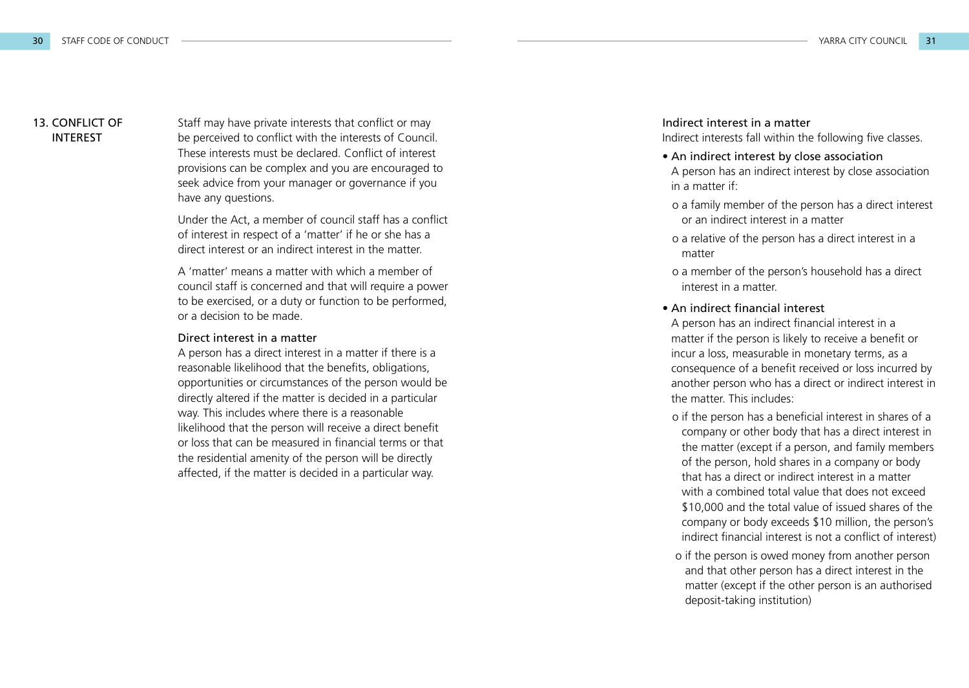#### 13. CONFLICT OF INTEREST

Staff may have private interests that conflict or may be perceived to conflict with the interests of Council. These interests must be declared. Conflict of interest provisions can be complex and you are encouraged to seek advice from your manager or governance if you have any questions.

Under the Act, a member of council staff has a conflict of interest in respect of a 'matter' if he or she has a direct interest or an indirect interest in the matter.

A 'matter' means a matter with which a member of council staff is concerned and that will require a power to be exercised, or a duty or function to be performed, or a decision to be made.

#### Direct interest in a matter

A person has a direct interest in a matter if there is a reasonable likelihood that the benefits, obligations, opportunities or circumstances of the person would be directly altered if the matter is decided in a particular way. This includes where there is a reasonable likelihood that the person will receive a direct benefit or loss that can be measured in financial terms or that the residential amenity of the person will be directly affected, if the matter is decided in a particular way.

#### Indirect interest in a matter

Indirect interests fall within the following five classes.

- An indirect interest by close association A person has an indirect interest by close association in a matter if:
- o a family member of the person has a direct interest or an indirect interest in a matter
- o a relative of the person has a direct interest in a matter
- o a member of the person's household has a direct interest in a matter.

#### • An indirect financial interest

A person has an indirect financial interest in a matter if the person is likely to receive a benefit or incur a loss, measurable in monetary terms, as a consequence of a benefit received or loss incurred by another person who has a direct or indirect interest in the matter. This includes:

- o if the person has a beneficial interest in shares of a company or other body that has a direct interest in the matter (except if a person, and family members of the person, hold shares in a company or body that has a direct or indirect interest in a matter with a combined total value that does not exceed \$10,000 and the total value of issued shares of the company or body exceeds \$10 million, the person's indirect financial interest is not a conflict of interest)
- o if the person is owed money from another person and that other person has a direct interest in the matter (except if the other person is an authorised deposit-taking institution)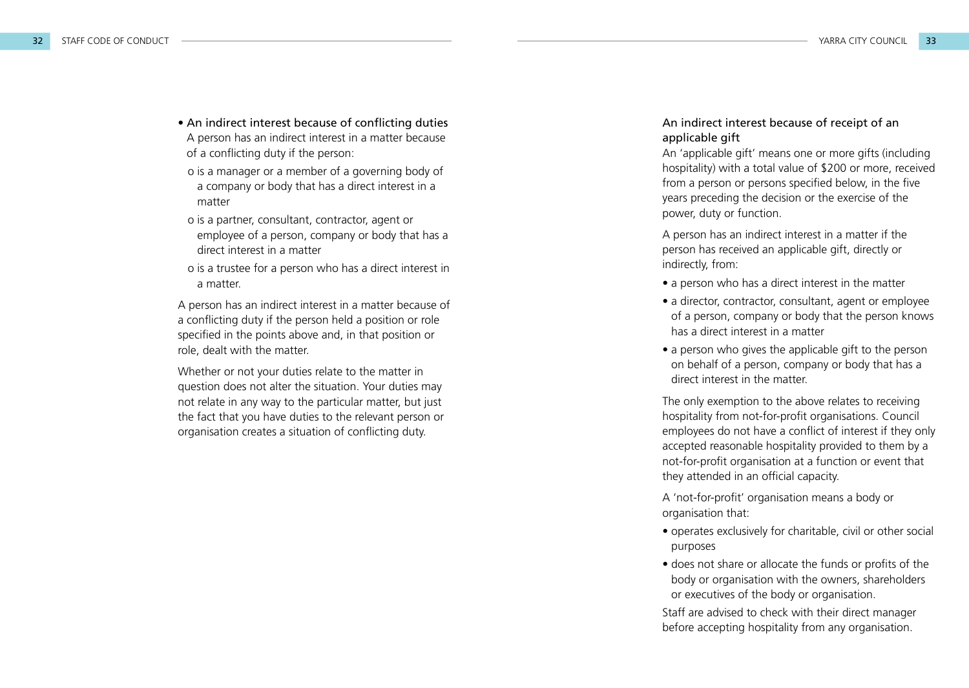- An indirect interest because of conflicting duties A person has an indirect interest in a matter because of a conflicting duty if the person:
- o is a manager or a member of a governing body of a company or body that has a direct interest in a matter
- o is a partner, consultant, contractor, agent or employee of a person, company or body that has a direct interest in a matter
- o is a trustee for a person who has a direct interest in a matter.

A person has an indirect interest in a matter because of a conflicting duty if the person held a position or role specified in the points above and, in that position or role, dealt with the matter.

Whether or not your duties relate to the matter in question does not alter the situation. Your duties may not relate in any way to the particular matter, but just the fact that you have duties to the relevant person or organisation creates a situation of conflicting duty.

#### An indirect interest because of receipt of an applicable gift

An 'applicable gift' means one or more gifts (including hospitality) with a total value of \$200 or more, received from a person or persons specified below, in the five years preceding the decision or the exercise of the power, duty or function.

A person has an indirect interest in a matter if the person has received an applicable gift, directly or indirectly, from:

- a person who has a direct interest in the matter
- a director, contractor, consultant, agent or employee of a person, company or body that the person knows has a direct interest in a matter
- a person who gives the applicable gift to the person on behalf of a person, company or body that has a direct interest in the matter.

The only exemption to the above relates to receiving hospitality from not-for-profit organisations. Council employees do not have a conflict of interest if they only accepted reasonable hospitality provided to them by a not-for-profit organisation at a function or event that they attended in an official capacity.

A 'not-for-profit' organisation means a body or organisation that:

- operates exclusively for charitable, civil or other social purposes
- does not share or allocate the funds or profits of the body or organisation with the owners, shareholders or executives of the body or organisation.

Staff are advised to check with their direct manager before accepting hospitality from any organisation.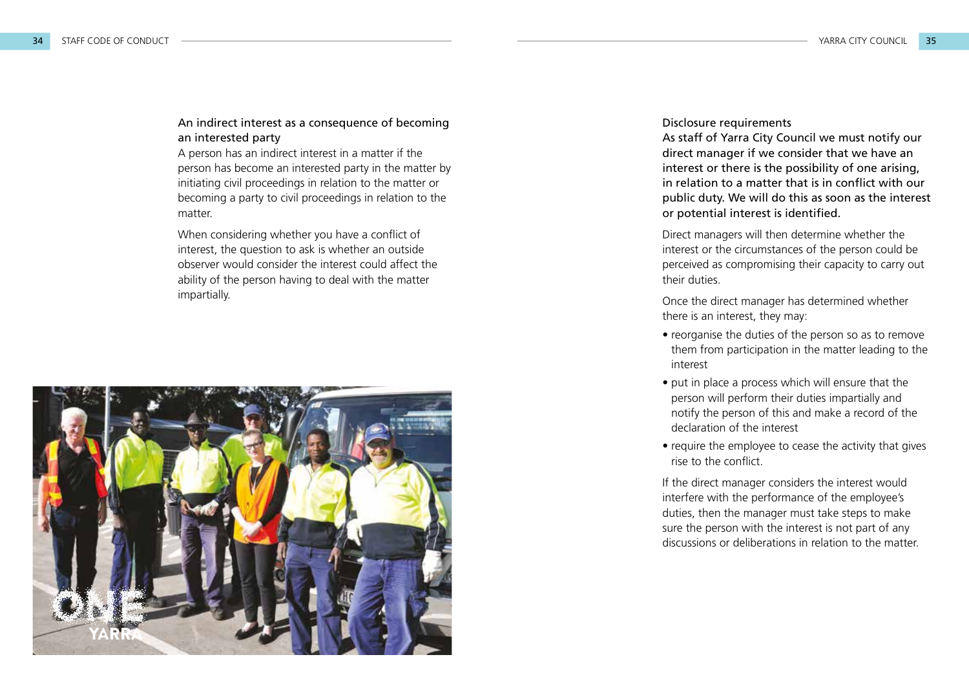#### An indirect interest as a consequence of becoming an interested party

A person has an indirect interest in a matter if the person has become an interested party in the matter by initiating civil proceedings in relation to the matter or becoming a party to civil proceedings in relation to the matter.

When considering whether you have a conflict of interest, the question to ask is whether an outside observer would consider the interest could affect the ability of the person having to deal with the matter impartially.



#### Disclosure requirements

As staff of Yarra City Council we must notify our direct manager if we consider that we have an interest or there is the possibility of one arising, in relation to a matter that is in conflict with our public duty. We will do this as soon as the interest or potential interest is identified.

Direct managers will then determine whether the interest or the circumstances of the person could be perceived as compromising their capacity to carry out their duties.

Once the direct manager has determined whether there is an interest, they may:

- reorganise the duties of the person so as to remove them from participation in the matter leading to the interest
- put in place a process which will ensure that the person will perform their duties impartially and notify the person of this and make a record of the declaration of the interest
- require the employee to cease the activity that gives rise to the conflict.

If the direct manager considers the interest would interfere with the performance of the employee's duties, then the manager must take steps to make sure the person with the interest is not part of any discussions or deliberations in relation to the matter.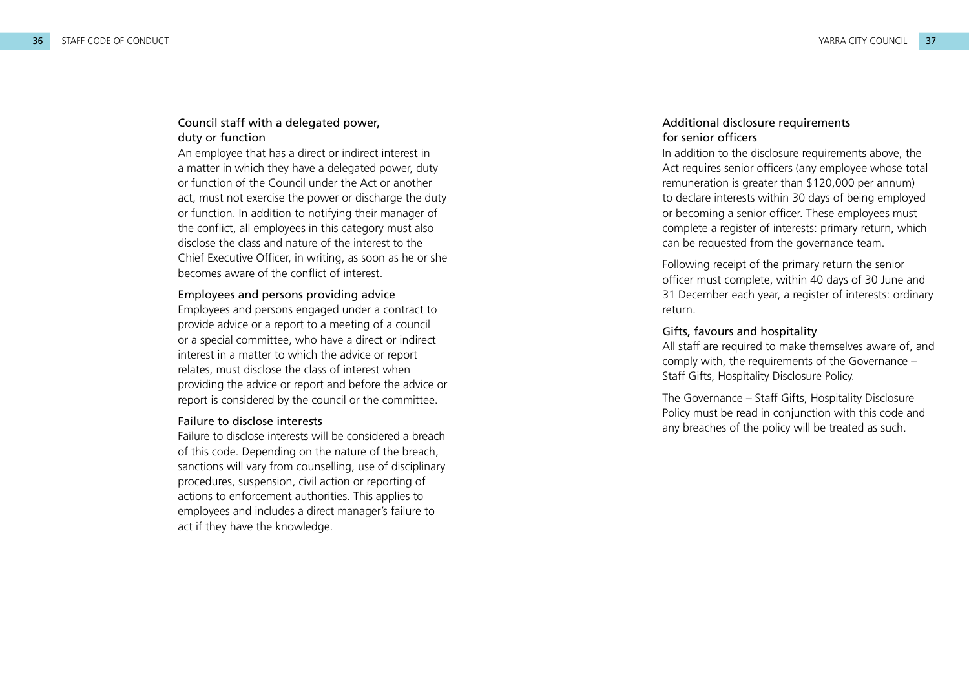#### Council staff with a delegated power, duty or function

An employee that has a direct or indirect interest in a matter in which they have a delegated power, duty or function of the Council under the Act or another act, must not exercise the power or discharge the duty or function. In addition to notifying their manager of the conflict, all employees in this category must also disclose the class and nature of the interest to the Chief Executive Officer, in writing, as soon as he or she becomes aware of the conflict of interest.

#### Employees and persons providing advice

Employees and persons engaged under a contract to provide advice or a report to a meeting of a council or a special committee, who have a direct or indirect interest in a matter to which the advice or report relates, must disclose the class of interest when providing the advice or report and before the advice or report is considered by the council or the committee.

#### Failure to disclose interests

Failure to disclose interests will be considered a breach of this code. Depending on the nature of the breach, sanctions will vary from counselling, use of disciplinary procedures, suspension, civil action or reporting of actions to enforcement authorities. This applies to employees and includes a direct manager's failure to act if they have the knowledge.

#### Additional disclosure requirements for senior officers

In addition to the disclosure requirements above, the Act requires senior officers (any employee whose total remuneration is greater than \$120,000 per annum) to declare interests within 30 days of being employed or becoming a senior officer. These employees must complete a register of interests: primary return, which can be requested from the governance team.

Following receipt of the primary return the senior officer must complete, within 40 days of 30 June and 31 December each year, a register of interests: ordinary return.

#### Gifts, favours and hospitality

All staff are required to make themselves aware of, and comply with, the requirements of the Governance – Staff Gifts, Hospitality Disclosure Policy.

The Governance – Staff Gifts, Hospitality Disclosure Policy must be read in conjunction with this code and any breaches of the policy will be treated as such.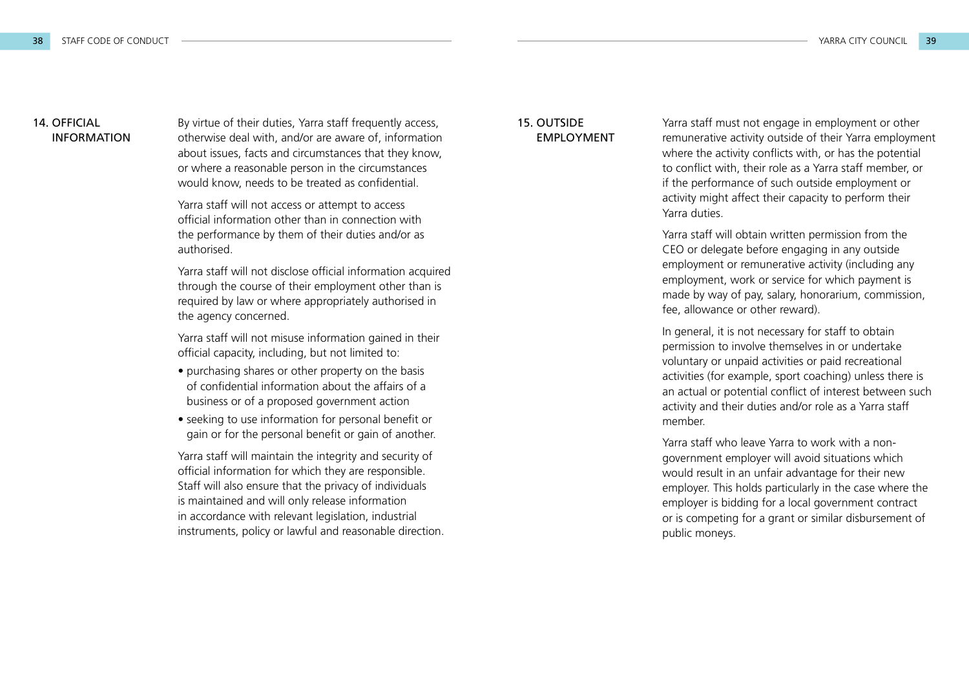#### 14. OFFICIAL INFORMATION

By virtue of their duties, Yarra staff frequently access, otherwise deal with, and/or are aware of, information about issues, facts and circumstances that they know, or where a reasonable person in the circumstances would know, needs to be treated as confidential.

Yarra staff will not access or attempt to access official information other than in connection with the performance by them of their duties and/or as authorised.

Yarra staff will not disclose official information acquired through the course of their employment other than is required by law or where appropriately authorised in the agency concerned.

Yarra staff will not misuse information gained in their official capacity, including, but not limited to:

- purchasing shares or other property on the basis of confidential information about the affairs of a business or of a proposed government action
- seeking to use information for personal benefit or gain or for the personal benefit or gain of another.

Yarra staff will maintain the integrity and security of official information for which they are responsible. Staff will also ensure that the privacy of individuals is maintained and will only release information in accordance with relevant legislation, industrial instruments, policy or lawful and reasonable direction.

#### 15. OUTSIDE EMPLOYMENT

Yarra staff must not engage in employment or other remunerative activity outside of their Yarra employment where the activity conflicts with, or has the potential to conflict with, their role as a Yarra staff member, or if the performance of such outside employment or activity might affect their capacity to perform their Yarra duties.

Yarra staff will obtain written permission from the CEO or delegate before engaging in any outside employment or remunerative activity (including any employment, work or service for which payment is made by way of pay, salary, honorarium, commission, fee, allowance or other reward).

In general, it is not necessary for staff to obtain permission to involve themselves in or undertake voluntary or unpaid activities or paid recreational activities (for example, sport coaching) unless there is an actual or potential conflict of interest between such activity and their duties and/or role as a Yarra staff member.

Yarra staff who leave Yarra to work with a nongovernment employer will avoid situations which would result in an unfair advantage for their new employer. This holds particularly in the case where the employer is bidding for a local government contract or is competing for a grant or similar disbursement of public moneys.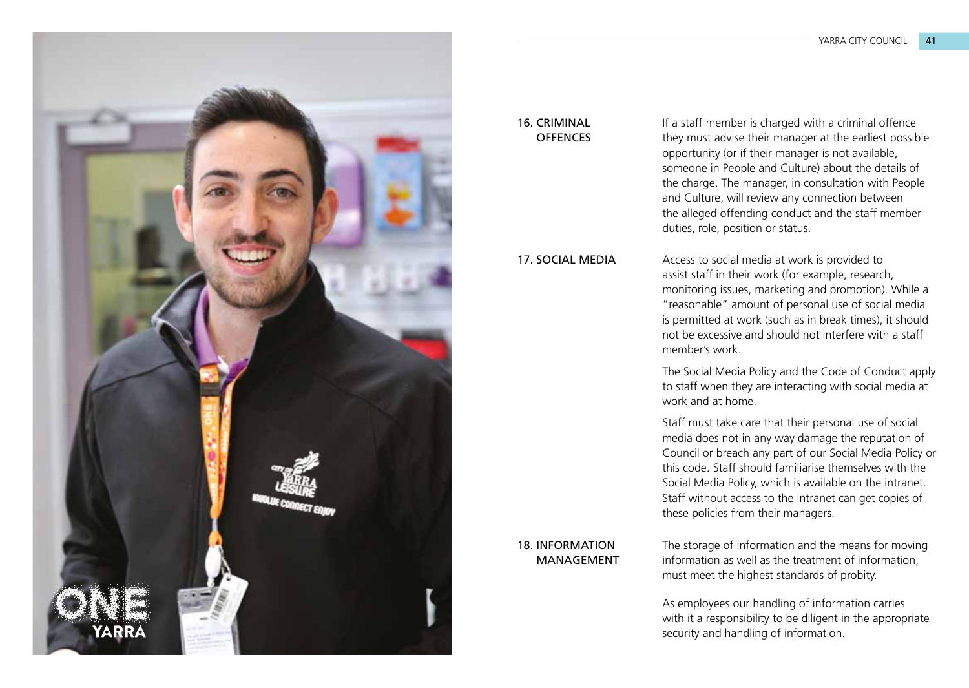

#### 16. CRIMINAL **OFFENCES**

17. SOCIAL MEDIA

If a staff member is charged with a criminal offence they must advise their manager at the earliest possible opportunity (or if their manager is not available, someone in People and Culture) about the details of the charge. The manager, in consultation with People and Culture, will review any connection between the alleged offending conduct and the staff member duties, role, position or status.

Access to social media at work is provided to assist staff in their work (for example, research, monitoring issues, marketing and promotion). While a "reasonable" amount of personal use of social media is permitted at work (such as in break times), it should not be excessive and should not interfere with a staff member's work.

The Social Media Policy and the Code of Conduct apply to staff when they are interacting with social media at work and at home.

Staff must take care that their personal use of social media does not in any way damage the reputation of Council or breach any part of our Social Media Policy or this code. Staff should familiarise themselves with the Social Media Policy, which is available on the intranet. Staff without access to the intranet can get copies of these policies from their managers.

18. INFORMATION MANAGEMENT

The storage of information and the means for moving information as well as the treatment of information, must meet the highest standards of probity.

As employees our handling of information carries with it a responsibility to be diligent in the appropriate security and handling of information.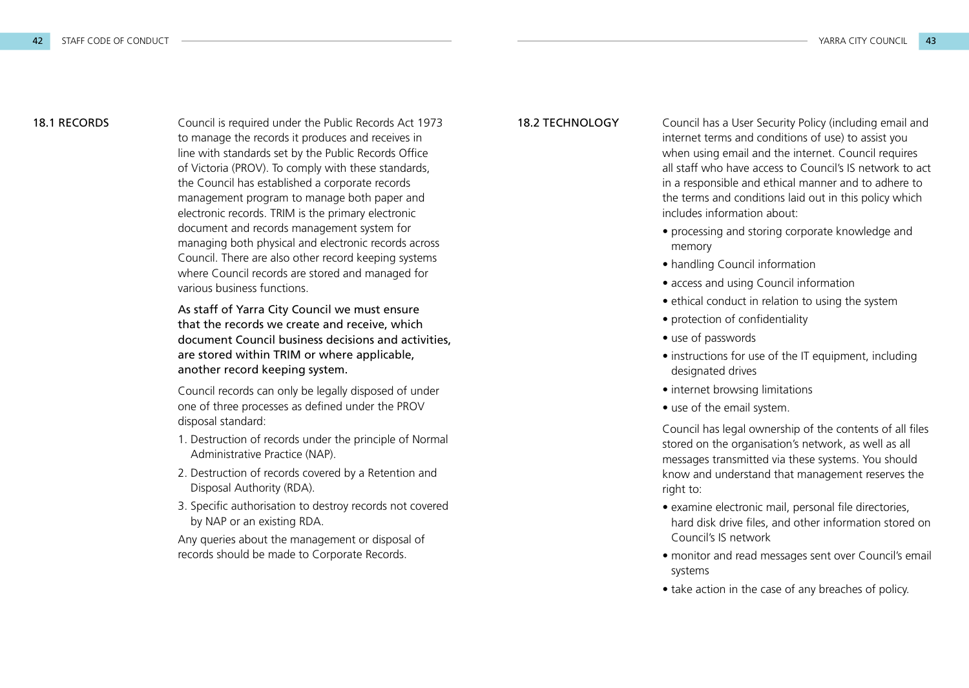**18.1 RECORDS** Council is required under the Public Records Act 1973 **18.2 TECHNOLOGY** to manage the records it produces and receives in line with standards set by the Public Records Office of Victoria (PROV). To comply with these standards, the Council has established a corporate records management program to manage both paper and electronic records. TRIM is the primary electronic document and records management system for managing both physical and electronic records across Council. There are also other record keeping systems where Council records are stored and managed for various business functions.

> As staff of Yarra City Council we must ensure that the records we create and receive, which document Council business decisions and activities, are stored within TRIM or where applicable, another record keeping system.

Council records can only be legally disposed of under one of three processes as defined under the PROV disposal standard:

- 1. Destruction of records under the principle of Normal Administrative Practice (NAP).
- 2. Destruction of records covered by a Retention and Disposal Authority (RDA).
- 3. Specific authorisation to destroy records not covered by NAP or an existing RDA.

Any queries about the management or disposal of records should be made to Corporate Records.

Council has a User Security Policy (including email and internet terms and conditions of use) to assist you when using email and the internet. Council requires all staff who have access to Council's IS network to act in a responsible and ethical manner and to adhere to the terms and conditions laid out in this policy which includes information about:

- processing and storing corporate knowledge and memory
- handling Council information
- access and using Council information
- ethical conduct in relation to using the system
- protection of confidentiality
- use of passwords
- instructions for use of the IT equipment, including designated drives
- internet browsing limitations
- use of the email system.

Council has legal ownership of the contents of all files stored on the organisation's network, as well as all messages transmitted via these systems. You should know and understand that management reserves the right to:

- examine electronic mail, personal file directories, hard disk drive files, and other information stored on Council's IS network
- monitor and read messages sent over Council's email systems
- take action in the case of any breaches of policy.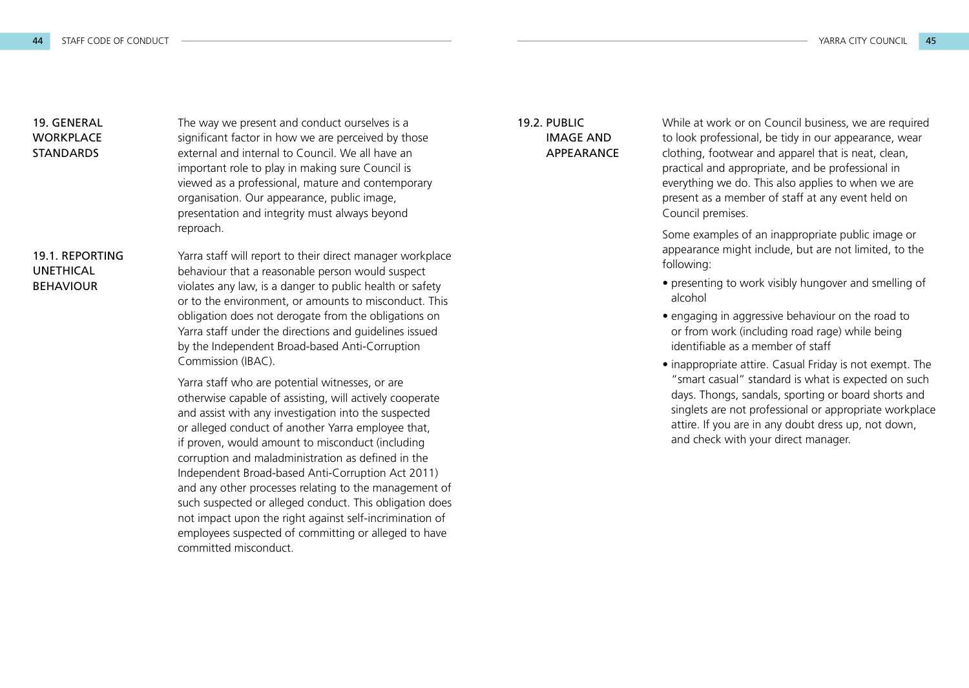## 19. GENERAL WORKPLACE **STANDARDS**

The way we present and conduct ourselves is a significant factor in how we are perceived by those external and internal to Council. We all have an important role to play in making sure Council is viewed as a professional, mature and contemporary organisation. Our appearance, public image, presentation and integrity must always beyond reproach.

#### 19.1. REPORTING UNETHICAL **BEHAVIOUR**

Yarra staff will report to their direct manager workplace behaviour that a reasonable person would suspect violates any law, is a danger to public health or safety or to the environment, or amounts to misconduct. This obligation does not derogate from the obligations on Yarra staff under the directions and guidelines issued by the Independent Broad-based Anti-Corruption Commission (IBAC).

Yarra staff who are potential witnesses, or are otherwise capable of assisting, will actively cooperate and assist with any investigation into the suspected or alleged conduct of another Yarra employee that, if proven, would amount to misconduct (including corruption and maladministration as defined in the Independent Broad-based Anti-Corruption Act 2011) and any other processes relating to the management of such suspected or alleged conduct. This obligation does not impact upon the right against self-incrimination of employees suspected of committing or alleged to have committed misconduct.

#### 19.2. PUBLIC IMAGE AND **APPEARANCE**

While at work or on Council business, we are required to look professional, be tidy in our appearance, wear clothing, footwear and apparel that is neat, clean, practical and appropriate, and be professional in everything we do. This also applies to when we are present as a member of staff at any event held on Council premises.

Some examples of an inappropriate public image or appearance might include, but are not limited, to the following:

- presenting to work visibly hungover and smelling of alcohol
- engaging in aggressive behaviour on the road to or from work (including road rage) while being identifiable as a member of staff
- inappropriate attire. Casual Friday is not exempt. The "smart casual" standard is what is expected on such days. Thongs, sandals, sporting or board shorts and singlets are not professional or appropriate workplace attire. If you are in any doubt dress up, not down, and check with your direct manager.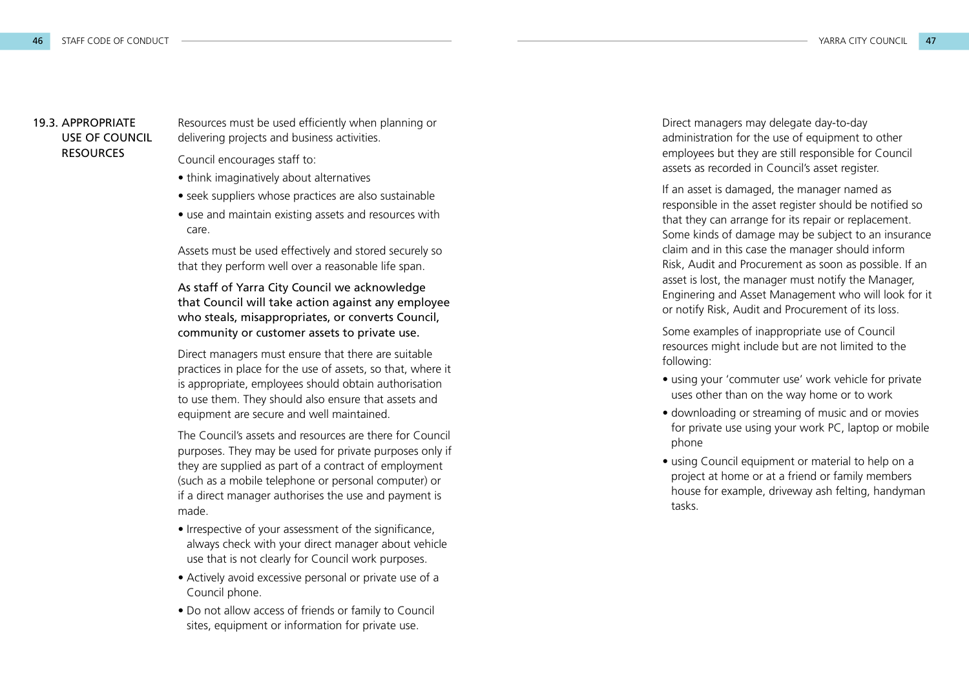#### 19.3. APPROPRIATE USE OF COUNCIL **RESOURCES**

Resources must be used efficiently when planning or delivering projects and business activities.

Council encourages staff to:

- think imaginatively about alternatives
- seek suppliers whose practices are also sustainable
- use and maintain existing assets and resources with care.

Assets must be used effectively and stored securely so that they perform well over a reasonable life span.

As staff of Yarra City Council we acknowledge that Council will take action against any employee who steals, misappropriates, or converts Council, community or customer assets to private use.

Direct managers must ensure that there are suitable practices in place for the use of assets, so that, where it is appropriate, employees should obtain authorisation to use them. They should also ensure that assets and equipment are secure and well maintained.

The Council's assets and resources are there for Council purposes. They may be used for private purposes only if they are supplied as part of a contract of employment (such as a mobile telephone or personal computer) or if a direct manager authorises the use and payment is made.

- Irrespective of your assessment of the significance, always check with your direct manager about vehicle use that is not clearly for Council work purposes.
- Actively avoid excessive personal or private use of a Council phone.
- Do not allow access of friends or family to Council sites, equipment or information for private use.

Direct managers may delegate day-to-day administration for the use of equipment to other employees but they are still responsible for Council assets as recorded in Council's asset register.

If an asset is damaged, the manager named as responsible in the asset register should be notified so that they can arrange for its repair or replacement. Some kinds of damage may be subject to an insurance claim and in this case the manager should inform Risk, Audit and Procurement as soon as possible. If an asset is lost, the manager must notify the Manager, Enginering and Asset Management who will look for it or notify Risk, Audit and Procurement of its loss.

Some examples of inappropriate use of Council resources might include but are not limited to the following:

- using your 'commuter use' work vehicle for private uses other than on the way home or to work
- downloading or streaming of music and or movies for private use using your work PC, laptop or mobile phone
- using Council equipment or material to help on a project at home or at a friend or family members house for example, driveway ash felting, handyman tasks.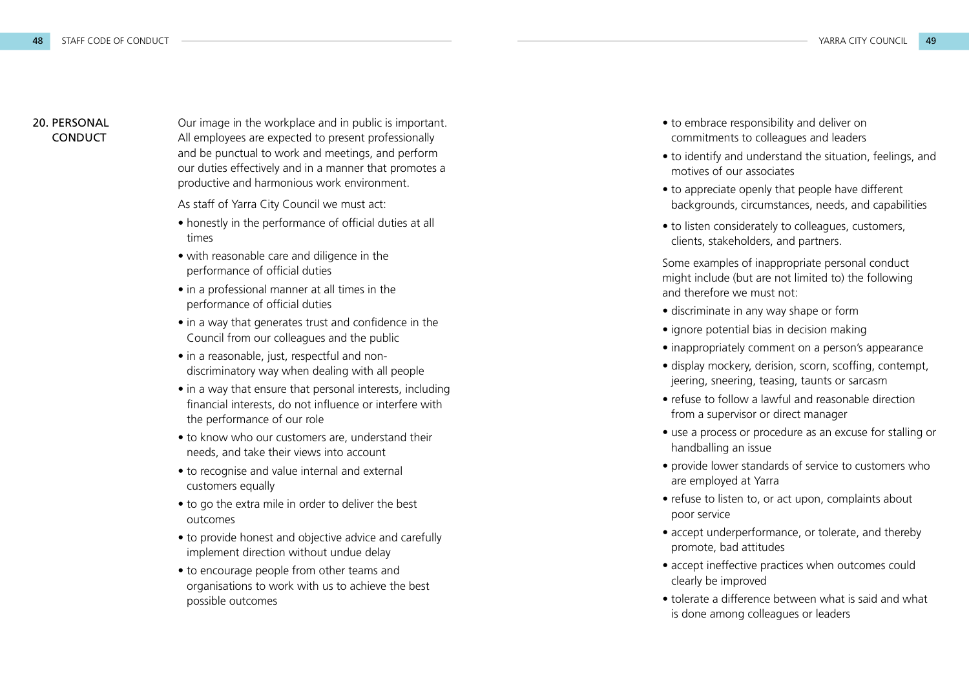#### 20. PERSONAL **CONDUCT**

Our image in the workplace and in public is important. All employees are expected to present professionally and be punctual to work and meetings, and perform our duties effectively and in a manner that promotes a productive and harmonious work environment.

As staff of Yarra City Council we must act:

- honestly in the performance of official duties at all times
- with reasonable care and diligence in the performance of official duties
- in a professional manner at all times in the performance of official duties
- in a way that generates trust and confidence in the Council from our colleagues and the public
- in a reasonable, just, respectful and nondiscriminatory way when dealing with all people
- in a way that ensure that personal interests, including financial interests, do not influence or interfere with the performance of our role
- to know who our customers are, understand their needs, and take their views into account
- to recognise and value internal and external customers equally
- to go the extra mile in order to deliver the best outcomes
- to provide honest and objective advice and carefully implement direction without undue delay
- to encourage people from other teams and organisations to work with us to achieve the best possible outcomes
- to embrace responsibility and deliver on commitments to colleagues and leaders
- to identify and understand the situation, feelings, and motives of our associates
- to appreciate openly that people have different backgrounds, circumstances, needs, and capabilities
- to listen considerately to colleagues, customers, clients, stakeholders, and partners.

Some examples of inappropriate personal conduct might include (but are not limited to) the following and therefore we must not:

- discriminate in any way shape or form
- ignore potential bias in decision making
- inappropriately comment on a person's appearance
- display mockery, derision, scorn, scoffing, contempt, jeering, sneering, teasing, taunts or sarcasm
- refuse to follow a lawful and reasonable direction from a supervisor or direct manager
- use a process or procedure as an excuse for stalling or handballing an issue
- provide lower standards of service to customers who are employed at Yarra
- refuse to listen to, or act upon, complaints about poor service
- accept underperformance, or tolerate, and thereby promote, bad attitudes
- accept ineffective practices when outcomes could clearly be improved
- tolerate a difference between what is said and what is done among colleagues or leaders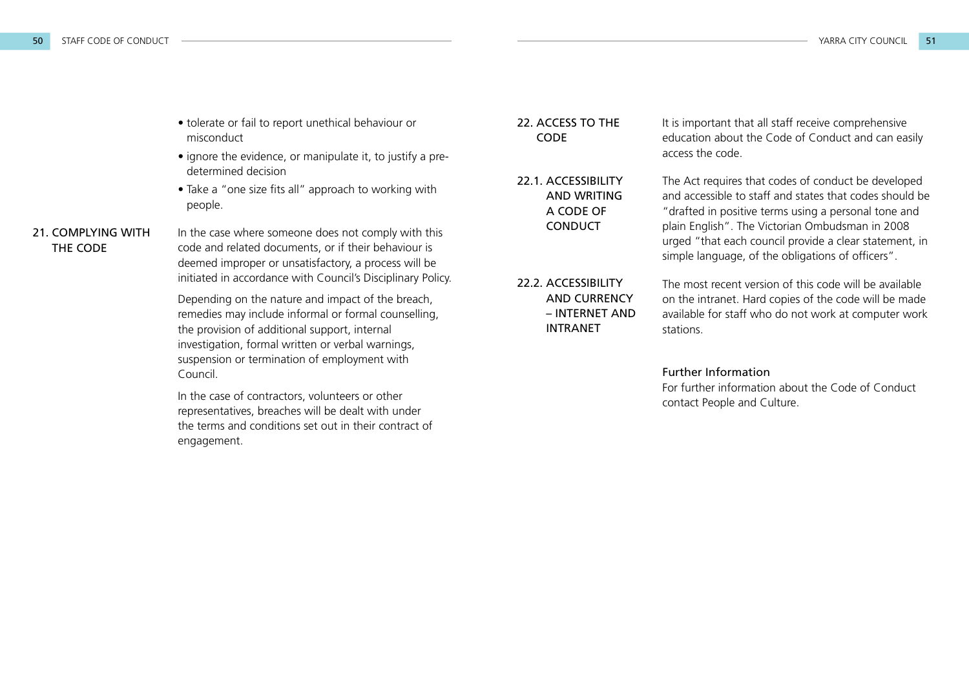- tolerate or fail to report unethical behaviour or misconduct
- ignore the evidence, or manipulate it, to justify a predetermined decision
- Take a "one size fits all" approach to working with people.

### 21. COMPLYING WITH THE CODE

In the case where someone does not comply with this code and related documents, or if their behaviour is deemed improper or unsatisfactory, a process will be initiated in accordance with Council's Disciplinary Policy.

Depending on the nature and impact of the breach, remedies may include informal or formal counselling, the provision of additional support, internal investigation, formal written or verbal warnings, suspension or termination of employment with Council.

In the case of contractors, volunteers or other representatives, breaches will be dealt with under the terms and conditions set out in their contract of engagement.

#### 22. ACCESS TO THE **CODE**

22.1. ACCESSIBILITY AND WRITING A CODE OF CONDUCT

22.2. ACCESSIBILITY AND CURRENCY – INTERNET AND INTRANET

It is important that all staff receive comprehensive education about the Code of Conduct and can easily access the code.

The Act requires that codes of conduct be developed and accessible to staff and states that codes should be "drafted in positive terms using a personal tone and plain English". The Victorian Ombudsman in 2008 urged "that each council provide a clear statement, in simple language, of the obligations of officers".

The most recent version of this code will be available on the intranet. Hard copies of the code will be made available for staff who do not work at computer work stations.

#### Further Information

For further information about the Code of Conduct contact People and Culture.